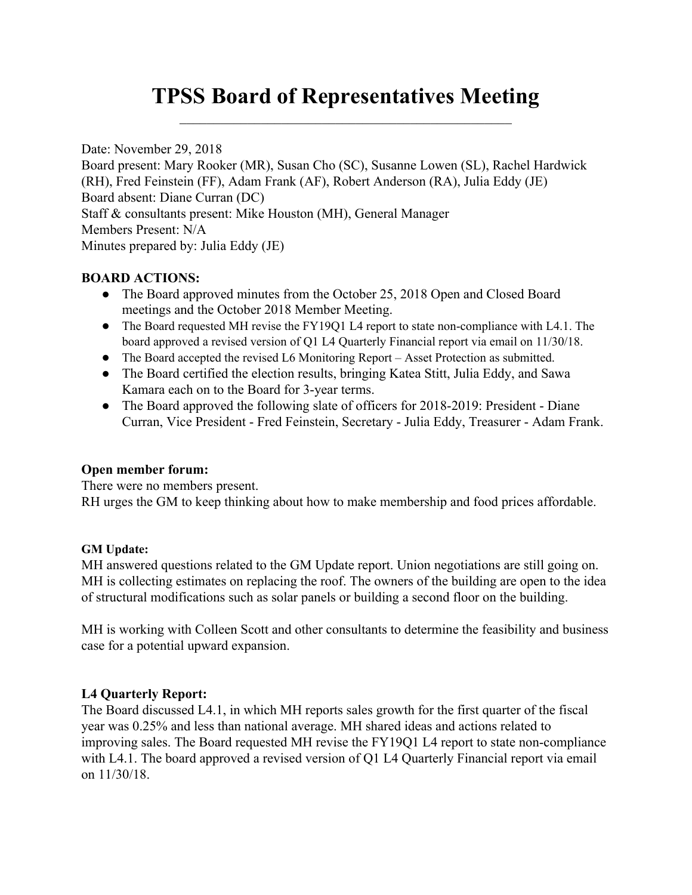# **TPSS Board of Representatives Meeting**  $\mathcal{L}_\text{max}$  and  $\mathcal{L}_\text{max}$  and  $\mathcal{L}_\text{max}$  and  $\mathcal{L}_\text{max}$  and  $\mathcal{L}_\text{max}$

Date: November 29, 2018 Board present: Mary Rooker (MR), Susan Cho (SC), Susanne Lowen (SL), Rachel Hardwick (RH), Fred Feinstein (FF), Adam Frank (AF), Robert Anderson (RA), Julia Eddy (JE) Board absent: Diane Curran (DC) Staff & consultants present: Mike Houston (MH), General Manager Members Present: N/A Minutes prepared by: Julia Eddy (JE)

# **BOARD ACTIONS:**

- The Board approved minutes from the October 25, 2018 Open and Closed Board meetings and the October 2018 Member Meeting.
- The Board requested MH revise the FY19Q1 L4 report to state non-compliance with L4.1. The board approved a revised version of Q1 L4 Quarterly Financial report via email on 11/30/18.
- The Board accepted the revised L6 Monitoring Report Asset Protection as submitted.
- The Board certified the election results, bringing Katea Stitt, Julia Eddy, and Sawa Kamara each on to the Board for 3-year terms.
- The Board approved the following slate of officers for 2018-2019: President Diane Curran, Vice President - Fred Feinstein, Secretary - Julia Eddy, Treasurer - Adam Frank.

# **Open member forum:**

There were no members present.

RH urges the GM to keep thinking about how to make membership and food prices affordable.

# **GM Update:**

MH answered questions related to the GM Update report. Union negotiations are still going on. MH is collecting estimates on replacing the roof. The owners of the building are open to the idea of structural modifications such as solar panels or building a second floor on the building.

MH is working with Colleen Scott and other consultants to determine the feasibility and business case for a potential upward expansion.

# **L4 Quarterly Report:**

The Board discussed L4.1, in which MH reports sales growth for the first quarter of the fiscal year was 0.25% and less than national average. MH shared ideas and actions related to improving sales. The Board requested MH revise the FY19Q1 L4 report to state non-compliance with L4.1. The board approved a revised version of Q1 L4 Quarterly Financial report via email on 11/30/18.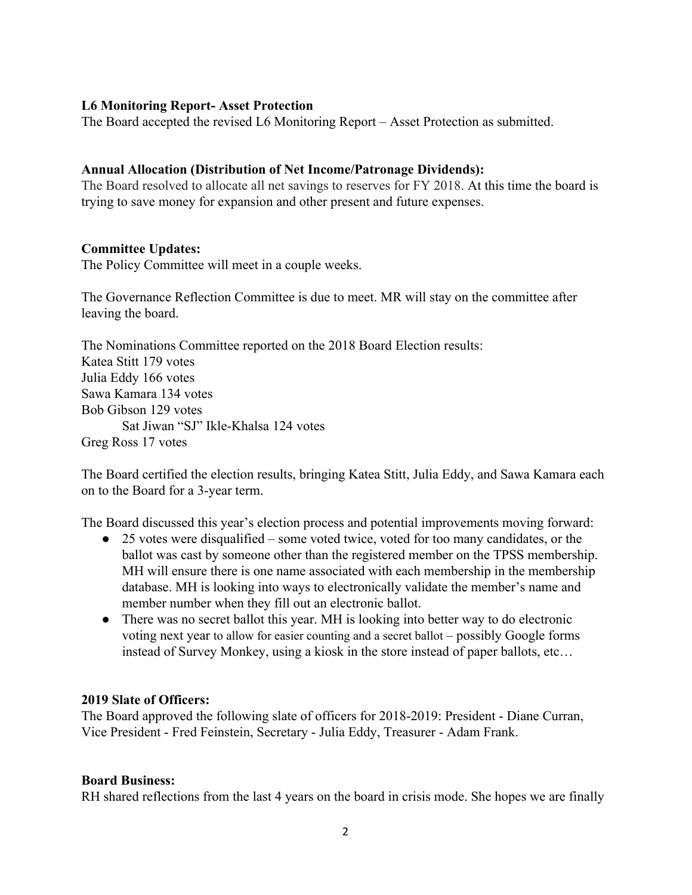### **L6 Monitoring Report- Asset Protection**

The Board accepted the revised L6 Monitoring Report – Asset Protection as submitted.

#### **Annual Allocation (Distribution of Net Income/Patronage Dividends):**

The Board resolved to allocate all net savings to reserves for FY 2018. At this time the board is trying to save money for expansion and other present and future expenses.

#### **Committee Updates:**

The Policy Committee will meet in a couple weeks.

The Governance Reflection Committee is due to meet. MR will stay on the committee after leaving the board.

The Nominations Committee reported on the 2018 Board Election results: Katea Stitt 179 votes Julia Eddy 166 votes Sawa Kamara 134 votes Bob Gibson 129 votes Sat Jiwan "SJ" Ikle-Khalsa 124 votes Greg Ross 17 votes

The Board certified the election results, bringing Katea Stitt, Julia Eddy, and Sawa Kamara each on to the Board for a 3-year term.

The Board discussed this year's election process and potential improvements moving forward:

- 25 votes were disqualified some voted twice, voted for too many candidates, or the ballot was cast by someone other than the registered member on the TPSS membership. MH will ensure there is one name associated with each membership in the membership database. MH is looking into ways to electronically validate the member's name and member number when they fill out an electronic ballot.
- There was no secret ballot this year. MH is looking into better way to do electronic voting next year to allow for easier counting and a secret ballot – possibly Google forms instead of Survey Monkey, using a kiosk in the store instead of paper ballots, etc…

#### **2019 Slate of Officers:**

The Board approved the following slate of officers for 2018-2019: President - Diane Curran, Vice President - Fred Feinstein, Secretary - Julia Eddy, Treasurer - Adam Frank.

#### **Board Business:**

RH shared reflections from the last 4 years on the board in crisis mode. She hopes we are finally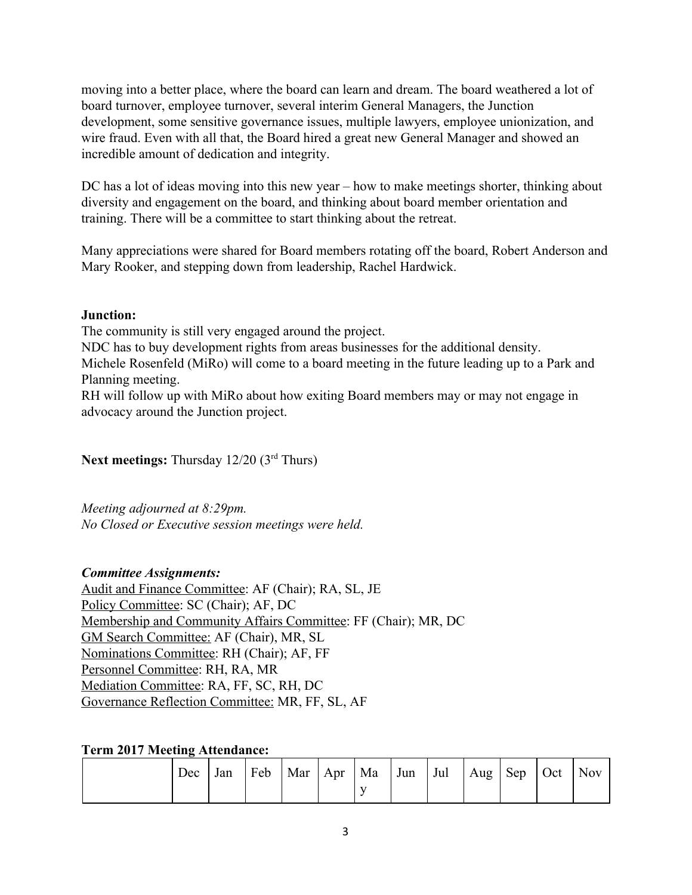moving into a better place, where the board can learn and dream. The board weathered a lot of board turnover, employee turnover, several interim General Managers, the Junction development, some sensitive governance issues, multiple lawyers, employee unionization, and wire fraud. Even with all that, the Board hired a great new General Manager and showed an incredible amount of dedication and integrity.

DC has a lot of ideas moving into this new year – how to make meetings shorter, thinking about diversity and engagement on the board, and thinking about board member orientation and training. There will be a committee to start thinking about the retreat.

Many appreciations were shared for Board members rotating off the board, Robert Anderson and Mary Rooker, and stepping down from leadership, Rachel Hardwick.

# **Junction:**

The community is still very engaged around the project.

NDC has to buy development rights from areas businesses for the additional density.

Michele Rosenfeld (MiRo) will come to a board meeting in the future leading up to a Park and Planning meeting.

RH will follow up with MiRo about how exiting Board members may or may not engage in advocacy around the Junction project.

Next meetings: Thursday 12/20 (3<sup>rd</sup> Thurs)

*Meeting adjourned at 8:29pm. No Closed or Executive session meetings were held.*

# *Committee Assignments:*

Audit and Finance Committee: AF (Chair); RA, SL, JE Policy Committee: SC (Chair); AF, DC Membership and Community Affairs Committee: FF (Chair); MR, DC GM Search Committee: AF (Chair), MR, SL Nominations Committee: RH (Chair); AF, FF Personnel Committee: RH, RA, MR Mediation Committee: RA, FF, SC, RH, DC Governance Reflection Committee: MR, FF, SL, AF

# **Term 2017 Meeting Attendance:**

| Dec | Jan | Feb | $Mar \mid Apr$ | $\vert$ Ma | Jun | Jul | Aug Sep | $\circ$ Oct | <b>Nov</b> |
|-----|-----|-----|----------------|------------|-----|-----|---------|-------------|------------|
|     |     |     |                |            |     |     |         |             |            |